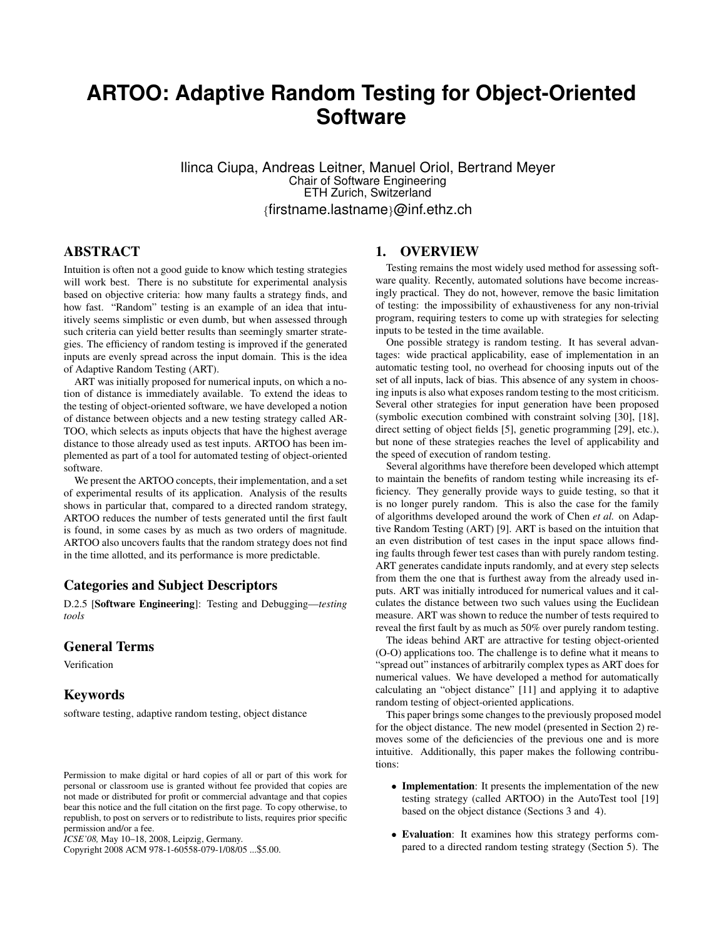# **ARTOO: Adaptive Random Testing for Object-Oriented Software**

Ilinca Ciupa, Andreas Leitner, Manuel Oriol, Bertrand Meyer Chair of Software Engineering ETH Zurich, Switzerland {firstname.lastname}@inf.ethz.ch

# ABSTRACT

Intuition is often not a good guide to know which testing strategies will work best. There is no substitute for experimental analysis based on objective criteria: how many faults a strategy finds, and how fast. "Random" testing is an example of an idea that intuitively seems simplistic or even dumb, but when assessed through such criteria can yield better results than seemingly smarter strategies. The efficiency of random testing is improved if the generated inputs are evenly spread across the input domain. This is the idea of Adaptive Random Testing (ART).

ART was initially proposed for numerical inputs, on which a notion of distance is immediately available. To extend the ideas to the testing of object-oriented software, we have developed a notion of distance between objects and a new testing strategy called AR-TOO, which selects as inputs objects that have the highest average distance to those already used as test inputs. ARTOO has been implemented as part of a tool for automated testing of object-oriented software.

We present the ARTOO concepts, their implementation, and a set of experimental results of its application. Analysis of the results shows in particular that, compared to a directed random strategy, ARTOO reduces the number of tests generated until the first fault is found, in some cases by as much as two orders of magnitude. ARTOO also uncovers faults that the random strategy does not find in the time allotted, and its performance is more predictable.

# Categories and Subject Descriptors

D.2.5 [Software Engineering]: Testing and Debugging—*testing tools*

## General Terms

Verification

#### Keywords

software testing, adaptive random testing, object distance

Copyright 2008 ACM 978-1-60558-079-1/08/05 ...\$5.00.

### 1. OVERVIEW

Testing remains the most widely used method for assessing software quality. Recently, automated solutions have become increasingly practical. They do not, however, remove the basic limitation of testing: the impossibility of exhaustiveness for any non-trivial program, requiring testers to come up with strategies for selecting inputs to be tested in the time available.

One possible strategy is random testing. It has several advantages: wide practical applicability, ease of implementation in an automatic testing tool, no overhead for choosing inputs out of the set of all inputs, lack of bias. This absence of any system in choosing inputs is also what exposes random testing to the most criticism. Several other strategies for input generation have been proposed (symbolic execution combined with constraint solving [30], [18], direct setting of object fields [5], genetic programming [29], etc.), but none of these strategies reaches the level of applicability and the speed of execution of random testing.

Several algorithms have therefore been developed which attempt to maintain the benefits of random testing while increasing its efficiency. They generally provide ways to guide testing, so that it is no longer purely random. This is also the case for the family of algorithms developed around the work of Chen *et al.* on Adaptive Random Testing (ART) [9]. ART is based on the intuition that an even distribution of test cases in the input space allows finding faults through fewer test cases than with purely random testing. ART generates candidate inputs randomly, and at every step selects from them the one that is furthest away from the already used inputs. ART was initially introduced for numerical values and it calculates the distance between two such values using the Euclidean measure. ART was shown to reduce the number of tests required to reveal the first fault by as much as 50% over purely random testing.

The ideas behind ART are attractive for testing object-oriented (O-O) applications too. The challenge is to define what it means to "spread out" instances of arbitrarily complex types as ART does for numerical values. We have developed a method for automatically calculating an "object distance" [11] and applying it to adaptive random testing of object-oriented applications.

This paper brings some changes to the previously proposed model for the object distance. The new model (presented in Section 2) removes some of the deficiencies of the previous one and is more intuitive. Additionally, this paper makes the following contributions:

- Implementation: It presents the implementation of the new testing strategy (called ARTOO) in the AutoTest tool [19] based on the object distance (Sections 3 and 4).
- Evaluation: It examines how this strategy performs compared to a directed random testing strategy (Section 5). The

Permission to make digital or hard copies of all or part of this work for personal or classroom use is granted without fee provided that copies are not made or distributed for profit or commercial advantage and that copies bear this notice and the full citation on the first page. To copy otherwise, to republish, to post on servers or to redistribute to lists, requires prior specific permission and/or a fee.

*ICSE'08,* May 10–18, 2008, Leipzig, Germany.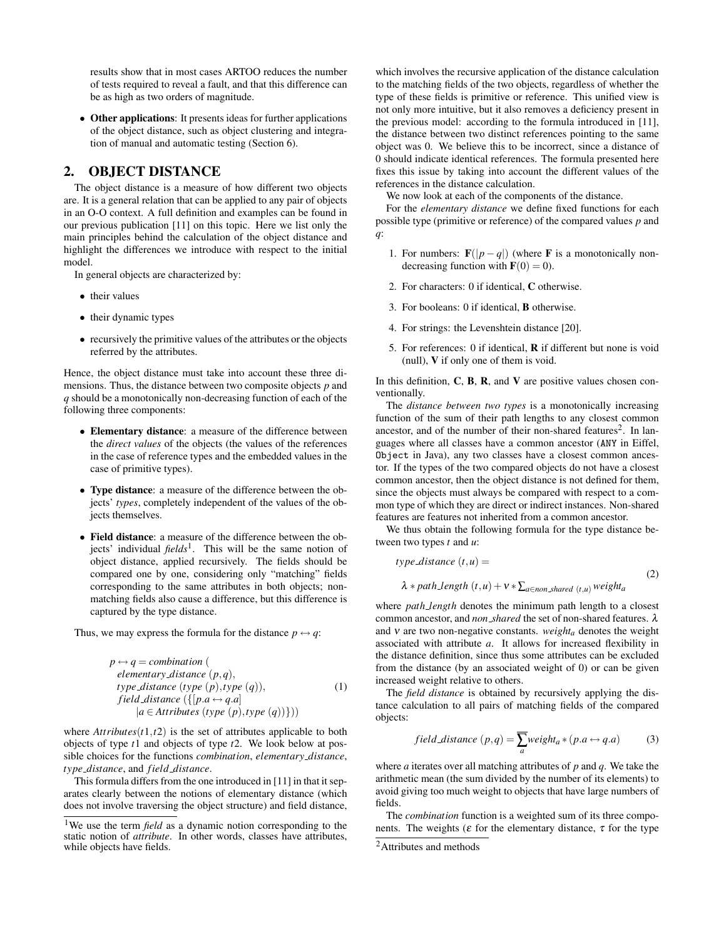results show that in most cases ARTOO reduces the number of tests required to reveal a fault, and that this difference can be as high as two orders of magnitude.

• Other applications: It presents ideas for further applications of the object distance, such as object clustering and integration of manual and automatic testing (Section 6).

## 2. OBJECT DISTANCE

The object distance is a measure of how different two objects are. It is a general relation that can be applied to any pair of objects in an O-O context. A full definition and examples can be found in our previous publication [11] on this topic. Here we list only the main principles behind the calculation of the object distance and highlight the differences we introduce with respect to the initial model.

In general objects are characterized by:

- their values
- their dynamic types
- recursively the primitive values of the attributes or the objects referred by the attributes.

Hence, the object distance must take into account these three dimensions. Thus, the distance between two composite objects *p* and *q* should be a monotonically non-decreasing function of each of the following three components:

- Elementary distance: a measure of the difference between the *direct values* of the objects (the values of the references in the case of reference types and the embedded values in the case of primitive types).
- Type distance: a measure of the difference between the objects' *types*, completely independent of the values of the objects themselves.
- Field distance: a measure of the difference between the objects' individual *fields*<sup>1</sup> . This will be the same notion of object distance, applied recursively. The fields should be compared one by one, considering only "matching" fields corresponding to the same attributes in both objects; nonmatching fields also cause a difference, but this difference is captured by the type distance.

Thus, we may express the formula for the distance  $p \leftrightarrow q$ :

$$
p \leftrightarrow q = combination (
$$
  
elementary distance  $(p,q)$ ,  
type distance  $(type (p), type (q)$ ,  
field distance  $(\{[p.a \leftrightarrow q.a] \mid a \in Attributes (type (p), type (q))\})$ )

where  $Artributes(t1,t2)$  is the set of attributes applicable to both objects of type *t*1 and objects of type *t*2. We look below at possible choices for the functions *combination*, *elementary distance*, *type distance*, and *field distance*.

This formula differs from the one introduced in [11] in that it separates clearly between the notions of elementary distance (which does not involve traversing the object structure) and field distance, which involves the recursive application of the distance calculation to the matching fields of the two objects, regardless of whether the type of these fields is primitive or reference. This unified view is not only more intuitive, but it also removes a deficiency present in the previous model: according to the formula introduced in [11], the distance between two distinct references pointing to the same object was 0. We believe this to be incorrect, since a distance of 0 should indicate identical references. The formula presented here fixes this issue by taking into account the different values of the references in the distance calculation.

We now look at each of the components of the distance.

For the *elementary distance* we define fixed functions for each possible type (primitive or reference) of the compared values *p* and *q*:

- 1. For numbers:  $\mathbf{F}(|p-q|)$  (where **F** is a monotonically nondecreasing function with  $F(0) = 0$ ).
- 2. For characters: 0 if identical, C otherwise.
- 3. For booleans: 0 if identical, B otherwise.
- 4. For strings: the Levenshtein distance [20].
- 5. For references: 0 if identical,  $\bf{R}$  if different but none is void (null), V if only one of them is void.

In this definition,  $C$ ,  $B$ ,  $R$ , and  $V$  are positive values chosen conventionally.

The *distance between two types* is a monotonically increasing function of the sum of their path lengths to any closest common ancestor, and of the number of their non-shared features<sup>2</sup>. In languages where all classes have a common ancestor (ANY in Eiffel, Object in Java), any two classes have a closest common ancestor. If the types of the two compared objects do not have a closest common ancestor, then the object distance is not defined for them, since the objects must always be compared with respect to a common type of which they are direct or indirect instances. Non-shared features are features not inherited from a common ancestor.

We thus obtain the following formula for the type distance between two types *t* and *u*:

$$
type\_distance(t, u) =
$$
  

$$
\lambda * path\_length(t, u) + v * \sum_{a \in non\_shared(t, u)} weight_a
$$
 (2)

where *path length* denotes the minimum path length to a closest common ancestor, and *non shared* the set of non-shared features. λ and ν are two non-negative constants. *weighta* denotes the weight associated with attribute *a*. It allows for increased flexibility in the distance definition, since thus some attributes can be excluded from the distance (by an associated weight of 0) or can be given increased weight relative to others.

The *field distance* is obtained by recursively applying the distance calculation to all pairs of matching fields of the compared objects:

field distance 
$$
(p,q) = \sum_{a} weight_a * (p.a \leftrightarrow q.a)
$$
 (3)

where *a* iterates over all matching attributes of *p* and *q*. We take the arithmetic mean (the sum divided by the number of its elements) to avoid giving too much weight to objects that have large numbers of fields.

The *combination* function is a weighted sum of its three components. The weights ( $\varepsilon$  for the elementary distance,  $\tau$  for the type

<sup>&</sup>lt;sup>1</sup>We use the term *field* as a dynamic notion corresponding to the static notion of *attribute*. In other words, classes have attributes, while objects have fields.

<sup>&</sup>lt;sup>2</sup>Attributes and methods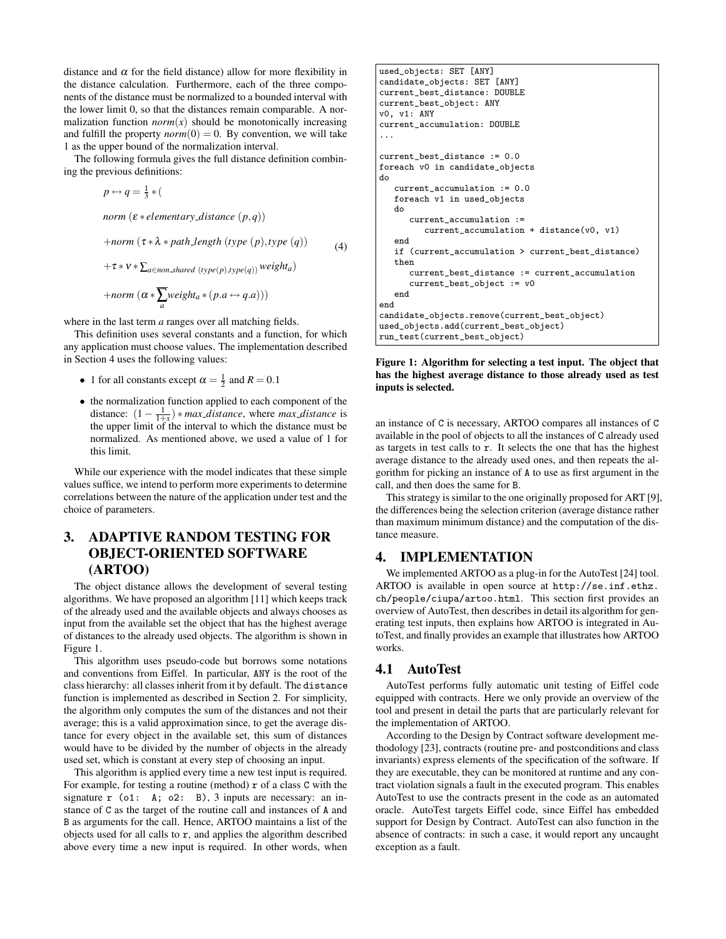distance and  $\alpha$  for the field distance) allow for more flexibility in the distance calculation. Furthermore, each of the three components of the distance must be normalized to a bounded interval with the lower limit 0, so that the distances remain comparable. A normalization function  $norm(x)$  should be monotonically increasing and fulfill the property  $norm(0) = 0$ . By convention, we will take 1 as the upper bound of the normalization interval.

The following formula gives the full distance definition combining the previous definitions:

$$
p \leftrightarrow q = \frac{1}{3} * (
$$
  
norm  $(\varepsilon * elementary\_distance (p,q))$   
+norm  $(\tau * \lambda * path\_length (type (p), type (q))$   
+ $\tau * v * \sum_{a \in non\_shared (type(p), type(q))} weight_a)$ 

(4)

$$
+norm\left(\alpha * \sum_{a} weight_a * (p.a \leftrightarrow q.a)\right))
$$

where in the last term *a* ranges over all matching fields.

This definition uses several constants and a function, for which any application must choose values. The implementation described in Section 4 uses the following values:

- 1 for all constants except  $\alpha = \frac{1}{2}$  and  $R = 0.1$
- the normalization function applied to each component of the distance:  $(1 - \frac{1}{1+x}) * max\_distance$ , where  $max\_distance$  is the upper limit of the interval to which the distance must be normalized. As mentioned above, we used a value of 1 for this limit.

While our experience with the model indicates that these simple values suffice, we intend to perform more experiments to determine correlations between the nature of the application under test and the choice of parameters.

# 3. ADAPTIVE RANDOM TESTING FOR OBJECT-ORIENTED SOFTWARE (ARTOO)

The object distance allows the development of several testing algorithms. We have proposed an algorithm [11] which keeps track of the already used and the available objects and always chooses as input from the available set the object that has the highest average of distances to the already used objects. The algorithm is shown in Figure 1.

This algorithm uses pseudo-code but borrows some notations and conventions from Eiffel. In particular, ANY is the root of the class hierarchy: all classes inherit from it by default. The distance function is implemented as described in Section 2. For simplicity, the algorithm only computes the sum of the distances and not their average; this is a valid approximation since, to get the average distance for every object in the available set, this sum of distances would have to be divided by the number of objects in the already used set, which is constant at every step of choosing an input.

This algorithm is applied every time a new test input is required. For example, for testing a routine (method)  $\mathbf r$  of a class C with the signature  $r$  (o1: A; o2: B), 3 inputs are necessary: an instance of C as the target of the routine call and instances of A and B as arguments for the call. Hence, ARTOO maintains a list of the objects used for all calls to  $r$ , and applies the algorithm described above every time a new input is required. In other words, when

```
used_objects: SET [ANY]
candidate_objects: SET [ANY]
current_best_distance: DOUBLE
current_best_object: ANY
v0, v1: ANY
current_accumulation: DOUBLE
...
current_best_distance := 0.0
foreach v0 in candidate_objects
do
   current_accumulation := 0.0
   foreach v1 in used_objects
   do
      current accumulation :=
         current_accumulation + distance(v0, v1)
   end
   if (current_accumulation > current_best_distance)
   then
      current_best_distance := current_accumulation
      current_best_object := v0
   end
end
candidate_objects.remove(current_best_object)
used_objects.add(current_best_object)
run_test(current_best_object)
```
Figure 1: Algorithm for selecting a test input. The object that has the highest average distance to those already used as test inputs is selected.

an instance of C is necessary, ARTOO compares all instances of C available in the pool of objects to all the instances of C already used as targets in test calls to r. It selects the one that has the highest average distance to the already used ones, and then repeats the algorithm for picking an instance of A to use as first argument in the call, and then does the same for B.

This strategy is similar to the one originally proposed for ART [9], the differences being the selection criterion (average distance rather than maximum minimum distance) and the computation of the distance measure.

# 4. IMPLEMENTATION

We implemented ARTOO as a plug-in for the AutoTest [24] tool. ARTOO is available in open source at http://se.inf.ethz. ch/people/ciupa/artoo.html. This section first provides an overview of AutoTest, then describes in detail its algorithm for generating test inputs, then explains how ARTOO is integrated in AutoTest, and finally provides an example that illustrates how ARTOO works.

## 4.1 AutoTest

AutoTest performs fully automatic unit testing of Eiffel code equipped with contracts. Here we only provide an overview of the tool and present in detail the parts that are particularly relevant for the implementation of ARTOO.

According to the Design by Contract software development methodology [23], contracts (routine pre- and postconditions and class invariants) express elements of the specification of the software. If they are executable, they can be monitored at runtime and any contract violation signals a fault in the executed program. This enables AutoTest to use the contracts present in the code as an automated oracle. AutoTest targets Eiffel code, since Eiffel has embedded support for Design by Contract. AutoTest can also function in the absence of contracts: in such a case, it would report any uncaught exception as a fault.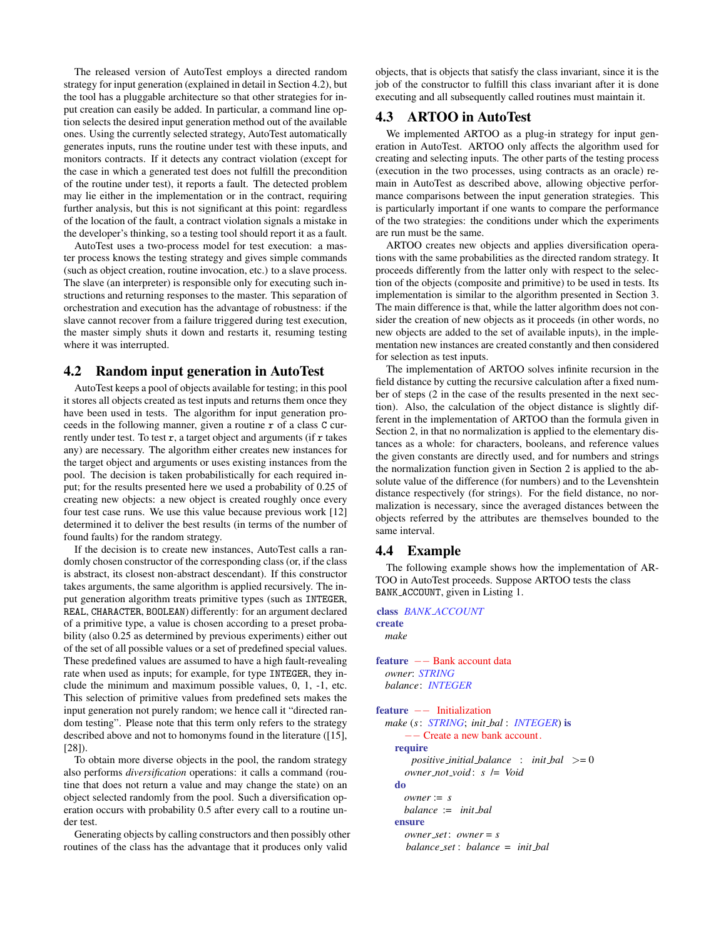The released version of AutoTest employs a directed random strategy for input generation (explained in detail in Section 4.2), but the tool has a pluggable architecture so that other strategies for input creation can easily be added. In particular, a command line option selects the desired input generation method out of the available ones. Using the currently selected strategy, AutoTest automatically generates inputs, runs the routine under test with these inputs, and monitors contracts. If it detects any contract violation (except for the case in which a generated test does not fulfill the precondition of the routine under test), it reports a fault. The detected problem may lie either in the implementation or in the contract, requiring further analysis, but this is not significant at this point: regardless of the location of the fault, a contract violation signals a mistake in the developer's thinking, so a testing tool should report it as a fault.

AutoTest uses a two-process model for test execution: a master process knows the testing strategy and gives simple commands (such as object creation, routine invocation, etc.) to a slave process. The slave (an interpreter) is responsible only for executing such instructions and returning responses to the master. This separation of orchestration and execution has the advantage of robustness: if the slave cannot recover from a failure triggered during test execution, the master simply shuts it down and restarts it, resuming testing where it was interrupted.

# 4.2 Random input generation in AutoTest

AutoTest keeps a pool of objects available for testing; in this pool it stores all objects created as test inputs and returns them once they have been used in tests. The algorithm for input generation proceeds in the following manner, given a routine r of a class C currently under test. To test  $r$ , a target object and arguments (if  $r$  takes any) are necessary. The algorithm either creates new instances for the target object and arguments or uses existing instances from the pool. The decision is taken probabilistically for each required input; for the results presented here we used a probability of 0.25 of creating new objects: a new object is created roughly once every four test case runs. We use this value because previous work [12] determined it to deliver the best results (in terms of the number of found faults) for the random strategy.

If the decision is to create new instances, AutoTest calls a randomly chosen constructor of the corresponding class (or, if the class is abstract, its closest non-abstract descendant). If this constructor takes arguments, the same algorithm is applied recursively. The input generation algorithm treats primitive types (such as INTEGER, REAL, CHARACTER, BOOLEAN) differently: for an argument declared of a primitive type, a value is chosen according to a preset probability (also 0.25 as determined by previous experiments) either out of the set of all possible values or a set of predefined special values. These predefined values are assumed to have a high fault-revealing rate when used as inputs; for example, for type INTEGER, they include the minimum and maximum possible values, 0, 1, -1, etc. This selection of primitive values from predefined sets makes the input generation not purely random; we hence call it "directed random testing". Please note that this term only refers to the strategy described above and not to homonyms found in the literature ([15], [28]).

To obtain more diverse objects in the pool, the random strategy also performs *diversification* operations: it calls a command (routine that does not return a value and may change the state) on an object selected randomly from the pool. Such a diversification operation occurs with probability 0.5 after every call to a routine under test.

Generating objects by calling constructors and then possibly other routines of the class has the advantage that it produces only valid

objects, that is objects that satisfy the class invariant, since it is the job of the constructor to fulfill this class invariant after it is done executing and all subsequently called routines must maintain it.

# 4.3 ARTOO in AutoTest

We implemented ARTOO as a plug-in strategy for input generation in AutoTest. ARTOO only affects the algorithm used for creating and selecting inputs. The other parts of the testing process (execution in the two processes, using contracts as an oracle) remain in AutoTest as described above, allowing objective performance comparisons between the input generation strategies. This is particularly important if one wants to compare the performance of the two strategies: the conditions under which the experiments are run must be the same.

ARTOO creates new objects and applies diversification operations with the same probabilities as the directed random strategy. It proceeds differently from the latter only with respect to the selection of the objects (composite and primitive) to be used in tests. Its implementation is similar to the algorithm presented in Section 3. The main difference is that, while the latter algorithm does not consider the creation of new objects as it proceeds (in other words, no new objects are added to the set of available inputs), in the implementation new instances are created constantly and then considered for selection as test inputs.

The implementation of ARTOO solves infinite recursion in the field distance by cutting the recursive calculation after a fixed number of steps (2 in the case of the results presented in the next section). Also, the calculation of the object distance is slightly different in the implementation of ARTOO than the formula given in Section 2, in that no normalization is applied to the elementary distances as a whole: for characters, booleans, and reference values the given constants are directly used, and for numbers and strings the normalization function given in Section 2 is applied to the absolute value of the difference (for numbers) and to the Levenshtein distance respectively (for strings). For the field distance, no normalization is necessary, since the averaged distances between the objects referred by the attributes are themselves bounded to the same interval.

## 4.4 Example

The following example shows how the implementation of AR-TOO in AutoTest proceeds. Suppose ARTOO tests the class BANK ACCOUNT, given in Listing 1.

```
class BANK ACCOUNT
create
 make
feature −− Bank account data
 owner: STRING
 balance: INTEGER
feature −− Initialization
 make (s: STRING; init bal : INTEGER) is
       −− Create a new bank account.
   require
       positive initial balance : init bal >= 0
      owner not void : s /= Void
   do
      owner := s
      balance := init bal
   ensure
      owner set: owner = s
      balance set : balance = init bal
```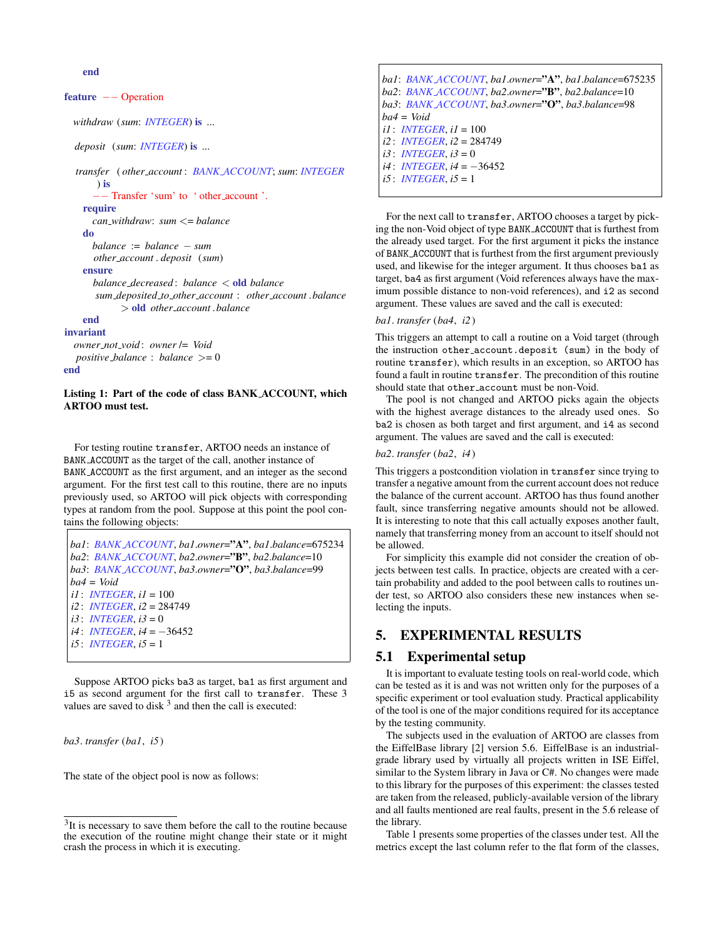end

#### feature −− Operation

*withdraw* (*sum*: *INTEGER*) is ...

*deposit* (*sum*: *INTEGER*) is ...

```
transfer ( other account : BANK ACCOUNT; sum: INTEGER
      ) is
      −− Transfer 'sum' to ' other account '.
    require
      can withdraw: sum <= balance
    do
      balance := balance − sum
      other account . deposit (sum)
    ensure
      balance decreased : balance < old balance
      sum deposited to other account : other account .balance
            > old other account .balance
    end
invariant
```

```
owner not void : owner /= Void
  positive balance : balance >= 0
end
```
#### Listing 1: Part of the code of class BANK ACCOUNT, which ARTOO must test.

For testing routine transfer, ARTOO needs an instance of BANK ACCOUNT as the target of the call, another instance of BANK ACCOUNT as the first argument, and an integer as the second argument. For the first test call to this routine, there are no inputs previously used, so ARTOO will pick objects with corresponding types at random from the pool. Suppose at this point the pool contains the following objects:

*ba1*: *BANK ACCOUNT*, *ba1*.*owner*="A", *ba1*.*balance*=675234 *ba2*: *BANK ACCOUNT*, *ba2*.*owner*="B", *ba2*.*balance*=10 *ba3*: *BANK ACCOUNT*, *ba3*.*owner*="O", *ba3*.*balance*=99 *ba4* = *Void i1* : *INTEGER*, *i1* = 100 *i2* : *INTEGER*, *i2* = 284749 *i3* : *INTEGER*, *i3* = 0 *i4* : *INTEGER*, *i4* = −36452 *i5* : *INTEGER*, *i5* = 1

Suppose ARTOO picks ba3 as target, ba1 as first argument and i5 as second argument for the first call to transfer. These 3 values are saved to disk  $3$  and then the call is executed:

*ba3*. *transfer* (*ba1*, *i5*)

The state of the object pool is now as follows:

*ba1*: *BANK ACCOUNT*, *ba1*.*owner*="A", *ba1*.*balance*=675235 *ba2*: *BANK ACCOUNT*, *ba2*.*owner*="B", *ba2*.*balance*=10 *ba3*: *BANK ACCOUNT*, *ba3*.*owner*="O", *ba3*.*balance*=98 *ba4* = *Void i1* : *INTEGER*, *i1* = 100 *i2* : *INTEGER*, *i2* = 284749  $i3$  : *INTEGER*,  $i3 = 0$ *i4* : *INTEGER*, *i4* = −36452 *i5* : *INTEGER*, *i5* = 1

For the next call to transfer, ARTOO chooses a target by picking the non-Void object of type BANK ACCOUNT that is furthest from the already used target. For the first argument it picks the instance of BANK ACCOUNT that is furthest from the first argument previously used, and likewise for the integer argument. It thus chooses ba1 as target, ba4 as first argument (Void references always have the maximum possible distance to non-void references), and i2 as second argument. These values are saved and the call is executed:

#### *ba1*. *transfer* (*ba4*, *i2*)

This triggers an attempt to call a routine on a Void target (through the instruction other account.deposit (sum) in the body of routine transfer), which results in an exception, so ARTOO has found a fault in routine transfer. The precondition of this routine should state that other account must be non-Void.

The pool is not changed and ARTOO picks again the objects with the highest average distances to the already used ones. So ba2 is chosen as both target and first argument, and i4 as second argument. The values are saved and the call is executed:

#### *ba2*. *transfer* (*ba2*, *i4*)

This triggers a postcondition violation in transfer since trying to transfer a negative amount from the current account does not reduce the balance of the current account. ARTOO has thus found another fault, since transferring negative amounts should not be allowed. It is interesting to note that this call actually exposes another fault, namely that transferring money from an account to itself should not be allowed.

For simplicity this example did not consider the creation of objects between test calls. In practice, objects are created with a certain probability and added to the pool between calls to routines under test, so ARTOO also considers these new instances when selecting the inputs.

# 5. EXPERIMENTAL RESULTS

## 5.1 Experimental setup

It is important to evaluate testing tools on real-world code, which can be tested as it is and was not written only for the purposes of a specific experiment or tool evaluation study. Practical applicability of the tool is one of the major conditions required for its acceptance by the testing community.

The subjects used in the evaluation of ARTOO are classes from the EiffelBase library [2] version 5.6. EiffelBase is an industrialgrade library used by virtually all projects written in ISE Eiffel, similar to the System library in Java or C#. No changes were made to this library for the purposes of this experiment: the classes tested are taken from the released, publicly-available version of the library and all faults mentioned are real faults, present in the 5.6 release of the library.

Table 1 presents some properties of the classes under test. All the metrics except the last column refer to the flat form of the classes,

 $3$ It is necessary to save them before the call to the routine because the execution of the routine might change their state or it might crash the process in which it is executing.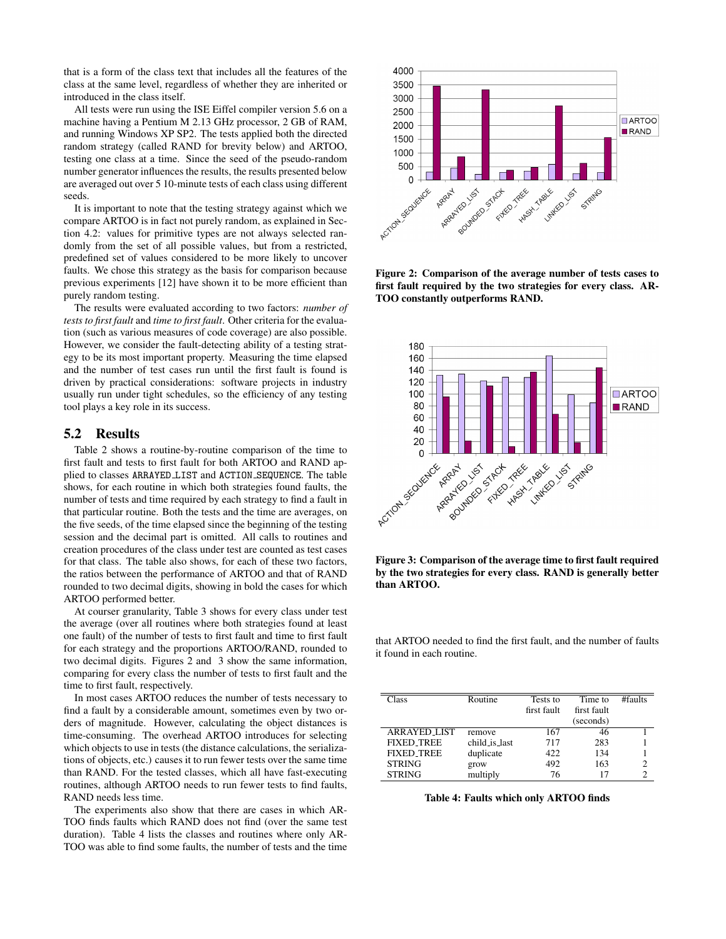that is a form of the class text that includes all the features of the class at the same level, regardless of whether they are inherited or introduced in the class itself.

All tests were run using the ISE Eiffel compiler version 5.6 on a machine having a Pentium M 2.13 GHz processor, 2 GB of RAM, and running Windows XP SP2. The tests applied both the directed random strategy (called RAND for brevity below) and ARTOO, testing one class at a time. Since the seed of the pseudo-random number generator influences the results, the results presented below are averaged out over 5 10-minute tests of each class using different seeds.

It is important to note that the testing strategy against which we compare ARTOO is in fact not purely random, as explained in Section 4.2: values for primitive types are not always selected randomly from the set of all possible values, but from a restricted, predefined set of values considered to be more likely to uncover faults. We chose this strategy as the basis for comparison because previous experiments [12] have shown it to be more efficient than purely random testing.

The results were evaluated according to two factors: *number of tests to first fault* and *time to first fault*. Other criteria for the evaluation (such as various measures of code coverage) are also possible. However, we consider the fault-detecting ability of a testing strategy to be its most important property. Measuring the time elapsed and the number of test cases run until the first fault is found is driven by practical considerations: software projects in industry usually run under tight schedules, so the efficiency of any testing tool plays a key role in its success.

## 5.2 Results

Table 2 shows a routine-by-routine comparison of the time to first fault and tests to first fault for both ARTOO and RAND applied to classes ARRAYED LIST and ACTION SEQUENCE. The table shows, for each routine in which both strategies found faults, the number of tests and time required by each strategy to find a fault in that particular routine. Both the tests and the time are averages, on the five seeds, of the time elapsed since the beginning of the testing session and the decimal part is omitted. All calls to routines and creation procedures of the class under test are counted as test cases for that class. The table also shows, for each of these two factors, the ratios between the performance of ARTOO and that of RAND rounded to two decimal digits, showing in bold the cases for which ARTOO performed better.

At courser granularity, Table 3 shows for every class under test the average (over all routines where both strategies found at least one fault) of the number of tests to first fault and time to first fault for each strategy and the proportions ARTOO/RAND, rounded to two decimal digits. Figures 2 and 3 show the same information, comparing for every class the number of tests to first fault and the time to first fault, respectively.

In most cases ARTOO reduces the number of tests necessary to find a fault by a considerable amount, sometimes even by two orders of magnitude. However, calculating the object distances is time-consuming. The overhead ARTOO introduces for selecting which objects to use in tests (the distance calculations, the serializations of objects, etc.) causes it to run fewer tests over the same time than RAND. For the tested classes, which all have fast-executing routines, although ARTOO needs to run fewer tests to find faults, RAND needs less time.

The experiments also show that there are cases in which AR-TOO finds faults which RAND does not find (over the same test duration). Table 4 lists the classes and routines where only AR-TOO was able to find some faults, the number of tests and the time



Figure 2: Comparison of the average number of tests cases to first fault required by the two strategies for every class. AR-TOO constantly outperforms RAND.



Figure 3: Comparison of the average time to first fault required by the two strategies for every class. RAND is generally better than ARTOO.

that ARTOO needed to find the first fault, and the number of faults it found in each routine.

| Class               | Routine       | Tests to    | Time to     | $#$ faults |
|---------------------|---------------|-------------|-------------|------------|
|                     |               | first fault | first fault |            |
|                     |               |             | (seconds)   |            |
| <b>ARRAYED LIST</b> | remove        | 167         | 46          |            |
| <b>FIXED_TREE</b>   | child_is_last | 717         | 283         |            |
| <b>FIXED TREE</b>   | duplicate     | 422         | 134         |            |
| <b>STRING</b>       | grow          | 492         | 163         | 2          |
| <b>STRING</b>       | multiply      | 76          |             |            |

Table 4: Faults which only ARTOO finds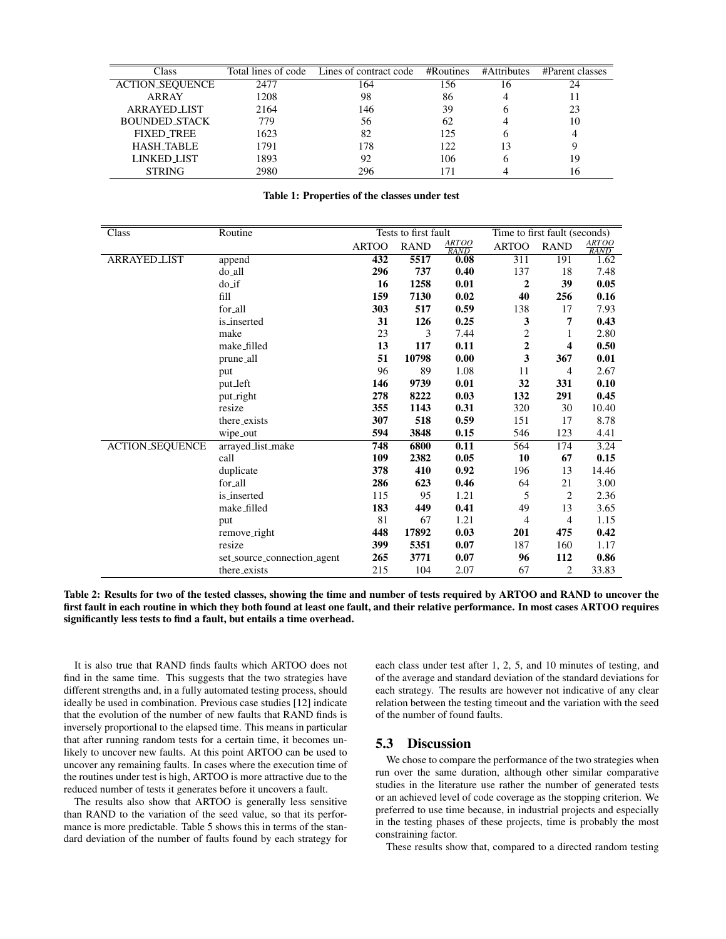| Class                  |      | Total lines of code Lines of contract code | $#R$ outines | #Attributes | #Parent classes |
|------------------------|------|--------------------------------------------|--------------|-------------|-----------------|
| <b>ACTION_SEQUENCE</b> | 2477 | 164                                        | 156          | 16          | 24              |
| <b>ARRAY</b>           | 1208 | 98                                         | 86           |             |                 |
| <b>ARRAYED_LIST</b>    | 2164 | 146                                        | 39           |             | 23              |
| <b>BOUNDED_STACK</b>   | 779  | 56                                         | 62           |             | 10              |
| <b>FIXED_TREE</b>      | 1623 | 82                                         | 125          |             |                 |
| <b>HASH_TABLE</b>      | 1791 | 178                                        | 122          |             |                 |
| LINKED LIST            | 1893 | 92                                         | 106          |             | 19              |
| <b>STRING</b>          | 2980 | 296                                        |              |             | 16              |

#### Table 1: Properties of the classes under test

| Class                  | Routine                     | Tests to first fault |             |               | Time to first fault (seconds) |             |                      |
|------------------------|-----------------------------|----------------------|-------------|---------------|-------------------------------|-------------|----------------------|
|                        |                             | <b>ARTOO</b>         | <b>RAND</b> | ARTOO<br>RAND | <b>ARTOO</b>                  | <b>RAND</b> | ARTOO<br><b>RAND</b> |
| <b>ARRAYED_LIST</b>    | append                      | 432                  | 5517        | 0.08          | 311                           | 191         | 1.62                 |
|                        | do_all                      | 296                  | 737         | 0.40          | 137                           | 18          | 7.48                 |
|                        | $do$ _if                    | 16                   | 1258        | 0.01          | $\overline{2}$                | 39          | 0.05                 |
|                        | fill                        | 159                  | 7130        | 0.02          | 40                            | 256         | 0.16                 |
|                        | for all                     | 303                  | 517         | 0.59          | 138                           | 17          | 7.93                 |
|                        | is_inserted                 | 31                   | 126         | 0.25          | 3                             | 7           | 0.43                 |
|                        | make                        | 23                   | 3           | 7.44          | 2                             | 1           | 2.80                 |
|                        | make_filled                 | 13                   | 117         | 0.11          | $\boldsymbol{2}$              | 4           | 0.50                 |
|                        | prune_all                   | 51                   | 10798       | 0.00          | $\overline{\mathbf{3}}$       | 367         | 0.01                 |
|                        | put                         | 96                   | 89          | 1.08          | 11                            | 4           | 2.67                 |
|                        | put_left                    | 146                  | 9739        | 0.01          | 32                            | 331         | 0.10                 |
|                        | put_right                   | 278                  | 8222        | 0.03          | 132                           | 291         | 0.45                 |
|                        | resize                      | 355                  | 1143        | 0.31          | 320                           | 30          | 10.40                |
|                        | there_exists                | 307                  | 518         | 0.59          | 151                           | 17          | 8.78                 |
|                        | wipe_out                    | 594                  | 3848        | 0.15          | 546                           | 123         | 4.41                 |
| <b>ACTION_SEQUENCE</b> | arrayed_list_make           | 748                  | 6800        | 0.11          | 564                           | 174         | 3.24                 |
|                        | call                        | 109                  | 2382        | 0.05          | 10                            | 67          | 0.15                 |
|                        | duplicate                   | 378                  | 410         | 0.92          | 196                           | 13          | 14.46                |
|                        | for_all                     | 286                  | 623         | 0.46          | 64                            | 21          | 3.00                 |
|                        | is_inserted                 | 115                  | 95          | 1.21          | 5                             | 2           | 2.36                 |
|                        | make_filled                 | 183                  | 449         | 0.41          | 49                            | 13          | 3.65                 |
|                        | put                         | 81                   | 67          | 1.21          | 4                             | 4           | 1.15                 |
|                        | remove_right                | 448                  | 17892       | 0.03          | 201                           | 475         | 0.42                 |
|                        | resize                      | 399                  | 5351        | 0.07          | 187                           | 160         | 1.17                 |
|                        | set_source_connection_agent | 265                  | 3771        | 0.07          | 96                            | 112         | 0.86                 |
|                        | there_exists                | 215                  | 104         | 2.07          | 67                            | 2           | 33.83                |

Table 2: Results for two of the tested classes, showing the time and number of tests required by ARTOO and RAND to uncover the first fault in each routine in which they both found at least one fault, and their relative performance. In most cases ARTOO requires significantly less tests to find a fault, but entails a time overhead.

It is also true that RAND finds faults which ARTOO does not find in the same time. This suggests that the two strategies have different strengths and, in a fully automated testing process, should ideally be used in combination. Previous case studies [12] indicate that the evolution of the number of new faults that RAND finds is inversely proportional to the elapsed time. This means in particular that after running random tests for a certain time, it becomes unlikely to uncover new faults. At this point ARTOO can be used to uncover any remaining faults. In cases where the execution time of the routines under test is high, ARTOO is more attractive due to the reduced number of tests it generates before it uncovers a fault.

The results also show that ARTOO is generally less sensitive than RAND to the variation of the seed value, so that its performance is more predictable. Table 5 shows this in terms of the standard deviation of the number of faults found by each strategy for each class under test after 1, 2, 5, and 10 minutes of testing, and of the average and standard deviation of the standard deviations for each strategy. The results are however not indicative of any clear relation between the testing timeout and the variation with the seed of the number of found faults.

# 5.3 Discussion

We chose to compare the performance of the two strategies when run over the same duration, although other similar comparative studies in the literature use rather the number of generated tests or an achieved level of code coverage as the stopping criterion. We preferred to use time because, in industrial projects and especially in the testing phases of these projects, time is probably the most constraining factor.

These results show that, compared to a directed random testing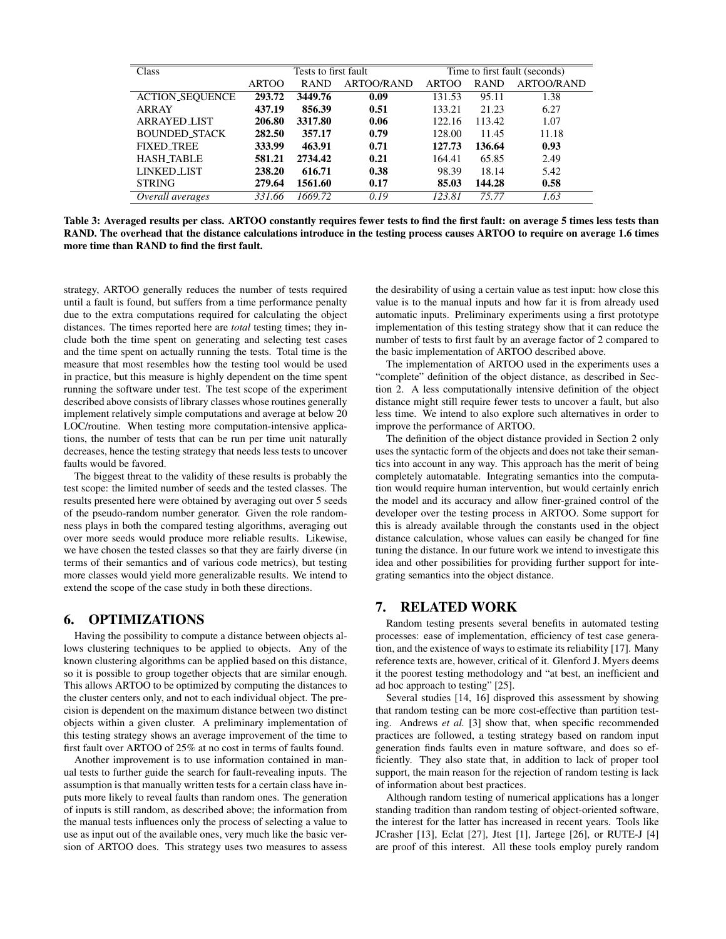| Class                  | Tests to first fault |             | Time to first fault (seconds) |              |             |                   |
|------------------------|----------------------|-------------|-------------------------------|--------------|-------------|-------------------|
|                        | <b>ARTOO</b>         | <b>RAND</b> | <b>ARTOO/RAND</b>             | <b>ARTOO</b> | <b>RAND</b> | <b>ARTOO/RAND</b> |
| <b>ACTION_SEQUENCE</b> | 293.72               | 3449.76     | 0.09                          | 131.53       | 95.11       | 1.38              |
| ARRAY                  | 437.19               | 856.39      | 0.51                          | 133.21       | 21.23       | 6.27              |
| <b>ARRAYED LIST</b>    | 206.80               | 3317.80     | 0.06                          | 122.16       | 113.42      | 1.07              |
| <b>BOUNDED_STACK</b>   | 282.50               | 357.17      | 0.79                          | 128.00       | 11.45       | 11.18             |
| <b>FIXED_TREE</b>      | 333.99               | 463.91      | 0.71                          | 127.73       | 136.64      | 0.93              |
| <b>HASH TABLE</b>      | 581.21               | 2734.42     | 0.21                          | 164.41       | 65.85       | 2.49              |
| <b>LINKED LIST</b>     | 238.20               | 616.71      | 0.38                          | 98.39        | 18.14       | 5.42              |
| <b>STRING</b>          | 279.64               | 1561.60     | 0.17                          | 85.03        | 144.28      | 0.58              |
| Overall averages       | 331.66               | 1669.72     | 0.19                          | 123.81       | 75.77       | 1.63              |

Table 3: Averaged results per class. ARTOO constantly requires fewer tests to find the first fault: on average 5 times less tests than RAND. The overhead that the distance calculations introduce in the testing process causes ARTOO to require on average 1.6 times more time than RAND to find the first fault.

strategy, ARTOO generally reduces the number of tests required until a fault is found, but suffers from a time performance penalty due to the extra computations required for calculating the object distances. The times reported here are *total* testing times; they include both the time spent on generating and selecting test cases and the time spent on actually running the tests. Total time is the measure that most resembles how the testing tool would be used in practice, but this measure is highly dependent on the time spent running the software under test. The test scope of the experiment described above consists of library classes whose routines generally implement relatively simple computations and average at below 20 LOC/routine. When testing more computation-intensive applications, the number of tests that can be run per time unit naturally decreases, hence the testing strategy that needs less tests to uncover faults would be favored.

The biggest threat to the validity of these results is probably the test scope: the limited number of seeds and the tested classes. The results presented here were obtained by averaging out over 5 seeds of the pseudo-random number generator. Given the role randomness plays in both the compared testing algorithms, averaging out over more seeds would produce more reliable results. Likewise, we have chosen the tested classes so that they are fairly diverse (in terms of their semantics and of various code metrics), but testing more classes would yield more generalizable results. We intend to extend the scope of the case study in both these directions.

## 6. OPTIMIZATIONS

Having the possibility to compute a distance between objects allows clustering techniques to be applied to objects. Any of the known clustering algorithms can be applied based on this distance, so it is possible to group together objects that are similar enough. This allows ARTOO to be optimized by computing the distances to the cluster centers only, and not to each individual object. The precision is dependent on the maximum distance between two distinct objects within a given cluster. A preliminary implementation of this testing strategy shows an average improvement of the time to first fault over ARTOO of 25% at no cost in terms of faults found.

Another improvement is to use information contained in manual tests to further guide the search for fault-revealing inputs. The assumption is that manually written tests for a certain class have inputs more likely to reveal faults than random ones. The generation of inputs is still random, as described above; the information from the manual tests influences only the process of selecting a value to use as input out of the available ones, very much like the basic version of ARTOO does. This strategy uses two measures to assess

the desirability of using a certain value as test input: how close this value is to the manual inputs and how far it is from already used automatic inputs. Preliminary experiments using a first prototype implementation of this testing strategy show that it can reduce the number of tests to first fault by an average factor of 2 compared to the basic implementation of ARTOO described above.

The implementation of ARTOO used in the experiments uses a "complete" definition of the object distance, as described in Section 2. A less computationally intensive definition of the object distance might still require fewer tests to uncover a fault, but also less time. We intend to also explore such alternatives in order to improve the performance of ARTOO.

The definition of the object distance provided in Section 2 only uses the syntactic form of the objects and does not take their semantics into account in any way. This approach has the merit of being completely automatable. Integrating semantics into the computation would require human intervention, but would certainly enrich the model and its accuracy and allow finer-grained control of the developer over the testing process in ARTOO. Some support for this is already available through the constants used in the object distance calculation, whose values can easily be changed for fine tuning the distance. In our future work we intend to investigate this idea and other possibilities for providing further support for integrating semantics into the object distance.

# 7. RELATED WORK

Random testing presents several benefits in automated testing processes: ease of implementation, efficiency of test case generation, and the existence of ways to estimate its reliability [17]. Many reference texts are, however, critical of it. Glenford J. Myers deems it the poorest testing methodology and "at best, an inefficient and ad hoc approach to testing" [25].

Several studies [14, 16] disproved this assessment by showing that random testing can be more cost-effective than partition testing. Andrews *et al.* [3] show that, when specific recommended practices are followed, a testing strategy based on random input generation finds faults even in mature software, and does so efficiently. They also state that, in addition to lack of proper tool support, the main reason for the rejection of random testing is lack of information about best practices.

Although random testing of numerical applications has a longer standing tradition than random testing of object-oriented software, the interest for the latter has increased in recent years. Tools like JCrasher [13], Eclat [27], Jtest [1], Jartege [26], or RUTE-J [4] are proof of this interest. All these tools employ purely random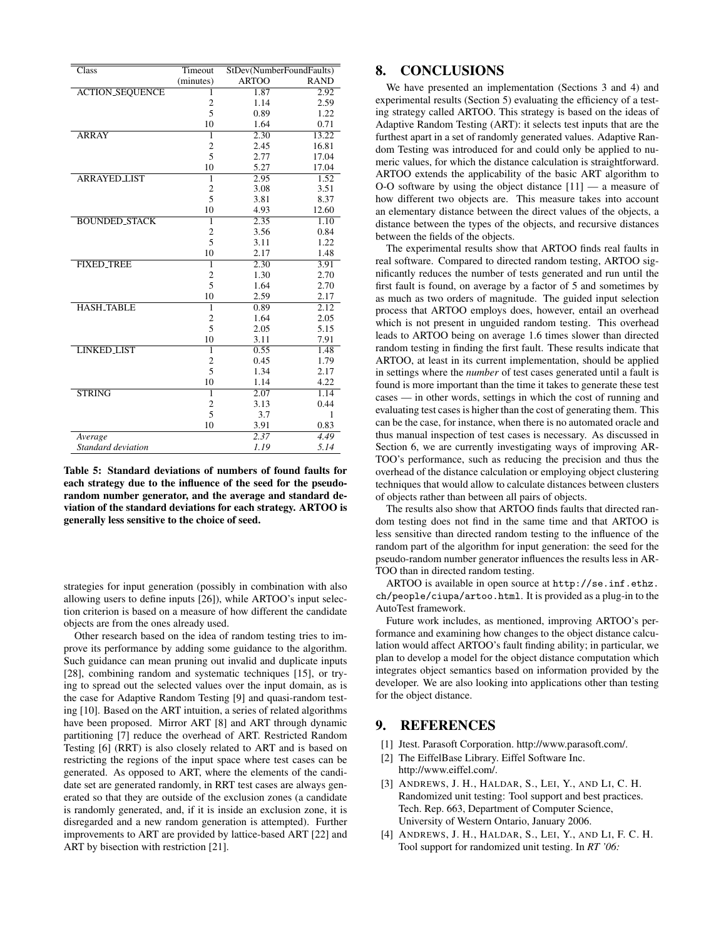| Class                  | Timeout                 | StDev(NumberFoundFaults) |                   |
|------------------------|-------------------------|--------------------------|-------------------|
|                        | (minutes)               | <b>ARTOO</b>             | <b>RAND</b>       |
| <b>ACTION_SEQUENCE</b> | 1                       | 1.87                     | 2.92              |
|                        | $\overline{c}$          | 1.14                     | 2.59              |
|                        | 5                       | 0.89                     | 1.22              |
|                        | 10                      | 1.64                     | 0.71              |
| <b>ARRAY</b>           | 1                       | 2.30                     | 13.22             |
|                        | $\overline{\mathbf{c}}$ | 2.45                     | 16.81             |
|                        | 5                       | 2.77                     | 17.04             |
|                        | 10                      | 5.27                     | 17.04             |
| <b>ARRAYED LIST</b>    | ī                       | 2.95                     | 1.52              |
|                        | $\overline{c}$          | 3.08                     | 3.51              |
|                        | 5                       | 3.81                     | 8.37              |
|                        | 10                      | 4.93                     | 12.60             |
| <b>BOUNDED STACK</b>   | $\overline{1}$          | 2.35                     | $\overline{1.10}$ |
|                        | $\overline{2}$          | 3.56                     | 0.84              |
|                        | 5                       | 3.11                     | 1.22              |
|                        | 10                      | 2.17                     | 1.48              |
| <b>FIXED_TREE</b>      | 1                       | 2.30                     | 3.91              |
|                        | $\overline{\mathbf{c}}$ | 1.30                     | 2.70              |
|                        | 5                       | 1.64                     | 2.70              |
|                        | 10                      | 2.59                     | 2.17              |
| <b>HASH TABLE</b>      | 1                       | 0.89                     | 2.12              |
|                        | $\overline{2}$          | 1.64                     | 2.05              |
|                        | 5                       | 2.05                     | 5.15              |
|                        | 10                      | 3.11                     | 7.91              |
| <b>LINKED LIST</b>     | $\overline{1}$          | 0.55                     | 1.48              |
|                        | $\overline{c}$          | 0.45                     | 1.79              |
|                        | 5                       | 1.34                     | 2.17              |
|                        | 10                      | 1.14                     | 4.22              |
| <b>STRING</b>          | $\overline{1}$          | 2.07                     | 1.14              |
|                        | $\overline{2}$          | 3.13                     | 0.44              |
|                        | 5                       | 3.7                      | 1                 |
|                        | 10                      | 3.91                     | 0.83              |
| Average                |                         | 2.37                     | 4.49              |
| Standard deviation     |                         | 1.19                     | 5.14              |

Table 5: Standard deviations of numbers of found faults for each strategy due to the influence of the seed for the pseudorandom number generator, and the average and standard deviation of the standard deviations for each strategy. ARTOO is generally less sensitive to the choice of seed.

strategies for input generation (possibly in combination with also allowing users to define inputs [26]), while ARTOO's input selection criterion is based on a measure of how different the candidate objects are from the ones already used.

Other research based on the idea of random testing tries to improve its performance by adding some guidance to the algorithm. Such guidance can mean pruning out invalid and duplicate inputs [28], combining random and systematic techniques [15], or trying to spread out the selected values over the input domain, as is the case for Adaptive Random Testing [9] and quasi-random testing [10]. Based on the ART intuition, a series of related algorithms have been proposed. Mirror ART [8] and ART through dynamic partitioning [7] reduce the overhead of ART. Restricted Random Testing [6] (RRT) is also closely related to ART and is based on restricting the regions of the input space where test cases can be generated. As opposed to ART, where the elements of the candidate set are generated randomly, in RRT test cases are always generated so that they are outside of the exclusion zones (a candidate is randomly generated, and, if it is inside an exclusion zone, it is disregarded and a new random generation is attempted). Further improvements to ART are provided by lattice-based ART [22] and ART by bisection with restriction [21].

# 8. CONCLUSIONS

We have presented an implementation (Sections 3 and 4) and experimental results (Section 5) evaluating the efficiency of a testing strategy called ARTOO. This strategy is based on the ideas of Adaptive Random Testing (ART): it selects test inputs that are the furthest apart in a set of randomly generated values. Adaptive Random Testing was introduced for and could only be applied to numeric values, for which the distance calculation is straightforward. ARTOO extends the applicability of the basic ART algorithm to O-O software by using the object distance [11] — a measure of how different two objects are. This measure takes into account an elementary distance between the direct values of the objects, a distance between the types of the objects, and recursive distances between the fields of the objects.

The experimental results show that ARTOO finds real faults in real software. Compared to directed random testing, ARTOO significantly reduces the number of tests generated and run until the first fault is found, on average by a factor of 5 and sometimes by as much as two orders of magnitude. The guided input selection process that ARTOO employs does, however, entail an overhead which is not present in unguided random testing. This overhead leads to ARTOO being on average 1.6 times slower than directed random testing in finding the first fault. These results indicate that ARTOO, at least in its current implementation, should be applied in settings where the *number* of test cases generated until a fault is found is more important than the time it takes to generate these test cases — in other words, settings in which the cost of running and evaluating test cases is higher than the cost of generating them. This can be the case, for instance, when there is no automated oracle and thus manual inspection of test cases is necessary. As discussed in Section 6, we are currently investigating ways of improving AR-TOO's performance, such as reducing the precision and thus the overhead of the distance calculation or employing object clustering techniques that would allow to calculate distances between clusters of objects rather than between all pairs of objects.

The results also show that ARTOO finds faults that directed random testing does not find in the same time and that ARTOO is less sensitive than directed random testing to the influence of the random part of the algorithm for input generation: the seed for the pseudo-random number generator influences the results less in AR-TOO than in directed random testing.

ARTOO is available in open source at http://se.inf.ethz. ch/people/ciupa/artoo.html. It is provided as a plug-in to the AutoTest framework.

Future work includes, as mentioned, improving ARTOO's performance and examining how changes to the object distance calculation would affect ARTOO's fault finding ability; in particular, we plan to develop a model for the object distance computation which integrates object semantics based on information provided by the developer. We are also looking into applications other than testing for the object distance.

# 9. REFERENCES

- [1] Jtest. Parasoft Corporation. http://www.parasoft.com/.
- [2] The EiffelBase Library. Eiffel Software Inc. http://www.eiffel.com/.
- [3] ANDREWS, J. H., HALDAR, S., LEI, Y., AND LI, C. H. Randomized unit testing: Tool support and best practices. Tech. Rep. 663, Department of Computer Science, University of Western Ontario, January 2006.
- [4] ANDREWS, J. H., HALDAR, S., LEI, Y., AND LI, F. C. H. Tool support for randomized unit testing. In *RT '06:*